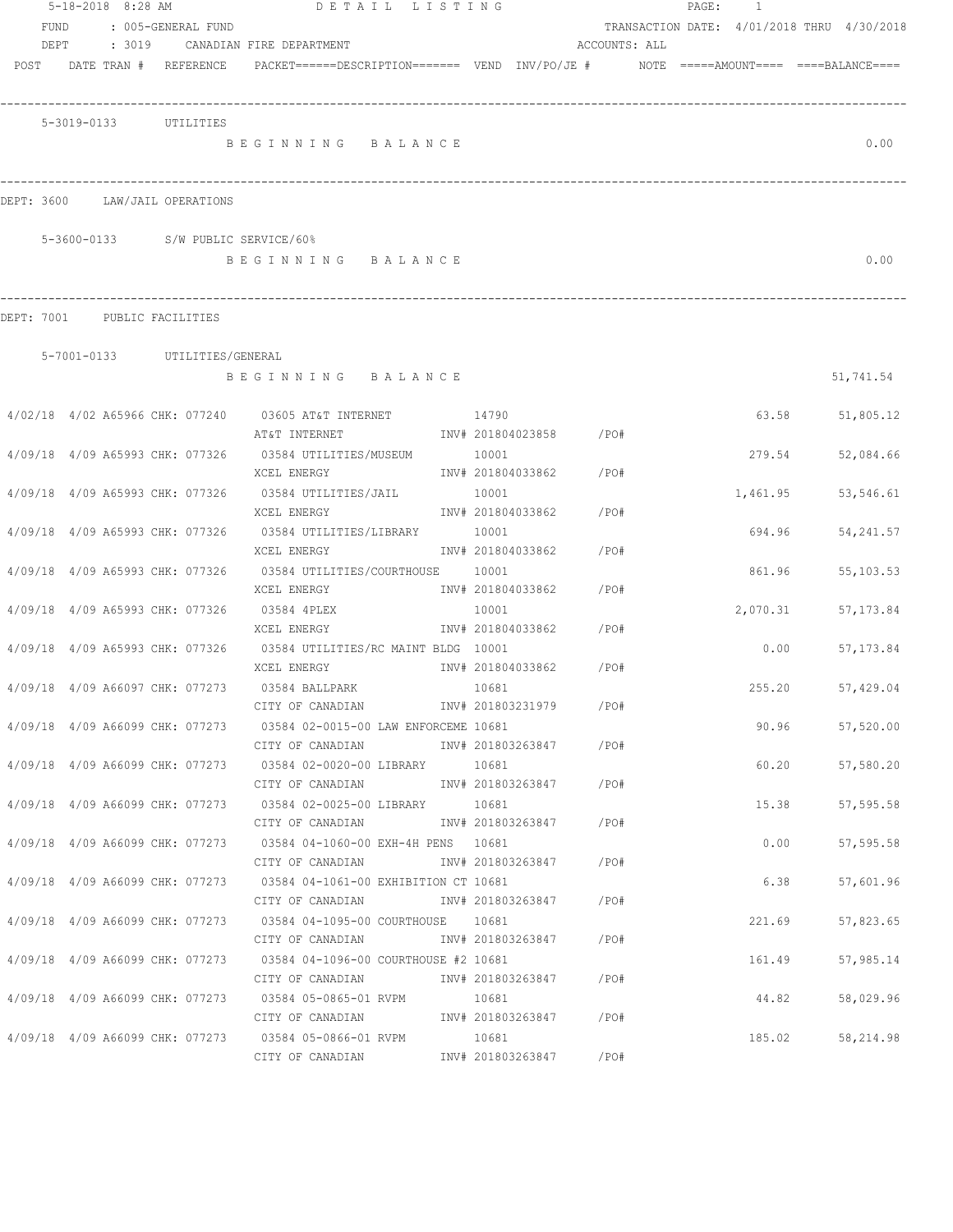|                                 | 5-18-2018 8:28 AM |                                 |                                                                                                  | DETAIL LISTING |                            |                         |               | PAGE: 1                                    |       |                 |
|---------------------------------|-------------------|---------------------------------|--------------------------------------------------------------------------------------------------|----------------|----------------------------|-------------------------|---------------|--------------------------------------------|-------|-----------------|
| <b>FUND</b>                     |                   | : 005-GENERAL FUND              |                                                                                                  |                |                            |                         |               | TRANSACTION DATE: 4/01/2018 THRU 4/30/2018 |       |                 |
| DEPT                            | : 3019            |                                 | CANADIAN FIRE DEPARTMENT                                                                         |                |                            |                         | ACCOUNTS: ALL |                                            |       |                 |
|                                 |                   | POST DATE TRAN # REFERENCE      | $PACKET == == = DESCRIPTION == == == $ VEND $INV/PO/JE$ # $NOTE$ =====AMOUNT==== ====BALANCE==== |                |                            |                         |               |                                            |       |                 |
|                                 |                   | 5-3019-0133 UTILITIES           |                                                                                                  |                |                            |                         |               |                                            |       |                 |
|                                 |                   |                                 | BEGINNING BALANCE                                                                                |                |                            |                         |               |                                            |       | 0.00            |
|                                 |                   |                                 |                                                                                                  |                |                            |                         |               |                                            |       |                 |
| DEPT: 3600                      |                   | LAW/JAIL OPERATIONS             |                                                                                                  |                |                            |                         |               |                                            |       |                 |
|                                 |                   |                                 | 5-3600-0133 S/W PUBLIC SERVICE/60%                                                               |                |                            |                         |               |                                            |       |                 |
|                                 |                   |                                 | BEGINNING BALANCE                                                                                |                |                            |                         |               |                                            |       | 0.00            |
| DEPT: 7001 PUBLIC FACILITIES    |                   |                                 |                                                                                                  |                |                            |                         |               |                                            |       |                 |
|                                 |                   | 5-7001-0133 UTILITIES/GENERAL   |                                                                                                  |                |                            |                         |               |                                            |       |                 |
|                                 |                   |                                 | BEGINNING BALANCE                                                                                |                |                            |                         |               |                                            |       | 51,741.54       |
|                                 |                   |                                 |                                                                                                  |                |                            |                         |               |                                            |       |                 |
|                                 |                   |                                 | 4/02/18 4/02 A65966 CHK: 077240 03605 AT&T INTERNET 14790                                        |                |                            |                         |               | 63.58                                      |       | 51,805.12       |
|                                 |                   |                                 | AT&T INTERNET                                                                                    |                |                            | INV# 201804023858 /PO#  |               |                                            |       |                 |
|                                 |                   |                                 | 4/09/18 4/09 A65993 CHK: 077326 03584 UTILITIES/MUSEUM                                           |                | 10001                      |                         |               | 279.54                                     |       | 52,084.66       |
|                                 |                   |                                 | XCEL ENERGY                                                                                      |                |                            | INV# 201804033862 / PO# |               |                                            |       |                 |
| 4/09/18 4/09 A65993 CHK: 077326 |                   |                                 | 03584 UTILITIES/JAIL<br>XCEL ENERGY                                                              |                | 10001<br>INV# 201804033862 |                         | /PO#          | 1,461.95                                   |       | 53,546.61       |
|                                 |                   | 4/09/18 4/09 A65993 CHK: 077326 | 03584 UTILITIES/LIBRARY                                                                          |                | 10001                      |                         |               | 694.96                                     |       | 54, 241.57      |
|                                 |                   |                                 | XCEL ENERGY                                                                                      |                | INV# 201804033862          |                         | /PO#          |                                            |       |                 |
|                                 |                   |                                 | 4/09/18 4/09 A65993 CHK: 077326 03584 UTILITIES/COURTHOUSE 10001                                 |                |                            |                         |               | 861.96                                     |       | 55, 103.53      |
|                                 |                   |                                 | XCEL ENERGY                                                                                      |                | INV# 201804033862          |                         | /PO#          |                                            |       |                 |
| 4/09/18 4/09 A65993 CHK: 077326 |                   |                                 | 03584 4PLEX                                                                                      |                | 10001                      |                         |               | 2,070.31                                   |       | 57, 173.84      |
|                                 |                   |                                 | XCEL ENERGY                                                                                      |                | INV# 201804033862          |                         | /PO#          |                                            |       |                 |
|                                 |                   |                                 | 4/09/18 4/09 A65993 CHK: 077326 03584 UTILITIES/RC MAINT BLDG 10001                              |                |                            |                         |               | 0.00                                       |       | 57, 173.84      |
|                                 |                   |                                 | XCEL ENERGY                                                                                      |                |                            | INV# 201804033862 /PO#  |               |                                            |       |                 |
|                                 |                   | 4/09/18 4/09 A66097 CHK: 077273 | 03584 BALLPARK                                                                                   | 10681          |                            |                         |               | 255.20                                     |       | 57,429.04       |
|                                 |                   |                                 | CITY OF CANADIAN                                                                                 |                |                            | INV# 201803231979       | /PO#          |                                            |       |                 |
|                                 |                   |                                 | 4/09/18 4/09 A66099 CHK: 077273 03584 02-0015-00 LAW ENFORCEME 10681                             |                |                            |                         |               |                                            |       | 90.96 57,520.00 |
|                                 |                   |                                 | CITY OF CANADIAN                                                                                 |                |                            | INV# 201803263847 /PO#  |               |                                            |       |                 |
|                                 |                   |                                 | 4/09/18 4/09 A66099 CHK: 077273 03584 02-0020-00 LIBRARY 10681                                   |                |                            |                         |               |                                            | 60.20 | 57,580.20       |
|                                 |                   |                                 | CITY OF CANADIAN                                                                                 |                |                            | INV# 201803263847 /PO#  |               |                                            |       |                 |
|                                 |                   |                                 | 4/09/18 4/09 A66099 CHK: 077273 03584 02-0025-00 LIBRARY 10681                                   |                |                            |                         |               | 15.38                                      |       | 57,595.58       |
|                                 |                   |                                 | CITY OF CANADIAN<br>4/09/18 4/09 A66099 CHK: 077273 03584 04-1060-00 EXH-4H PENS 10681           |                |                            | INV# 201803263847 /PO#  |               |                                            |       |                 |
|                                 |                   |                                 | CITY OF CANADIAN                                                                                 |                |                            | INV# 201803263847 /PO#  |               | 0.00                                       |       | 57, 595.58      |
|                                 |                   |                                 | 4/09/18 4/09 A66099 CHK: 077273 03584 04-1061-00 EXHIBITION CT 10681                             |                |                            |                         |               | 6.38                                       |       | 57,601.96       |
|                                 |                   |                                 | CITY OF CANADIAN                                                                                 |                |                            | INV# 201803263847 / PO# |               |                                            |       |                 |
|                                 |                   |                                 | 4/09/18 4/09 A66099 CHK: 077273 03584 04-1095-00 COURTHOUSE 10681                                |                |                            |                         |               | 221.69                                     |       | 57,823.65       |
|                                 |                   |                                 | CITY OF CANADIAN 1NV# 201803263847 / PO#                                                         |                |                            |                         |               |                                            |       |                 |
|                                 |                   |                                 | 4/09/18 4/09 A66099 CHK: 077273 03584 04-1096-00 COURTHOUSE #2 10681                             |                |                            |                         |               | 161.49                                     |       | 57,985.14       |
|                                 |                   |                                 | CITY OF CANADIAN 1NV# 201803263847 / PO#                                                         |                |                            |                         |               |                                            |       |                 |
|                                 |                   |                                 | 4/09/18  4/09  A66099  CHK:  077273  03584  05-0865-01  RVPM                   10681             |                |                            |                         |               | 44.82                                      |       | 58,029.96       |
|                                 |                   |                                 |                                                                                                  |                |                            |                         |               |                                            |       |                 |
|                                 |                   |                                 | 4/09/18 4/09 A66099 CHK: 077273 03584 05-0866-01 RVPM 10681                                      |                |                            |                         |               | 185.02                                     |       | 58,214.98       |
|                                 |                   |                                 | CITY OF CANADIAN                                                                                 |                |                            | INV# 201803263847 /PO#  |               |                                            |       |                 |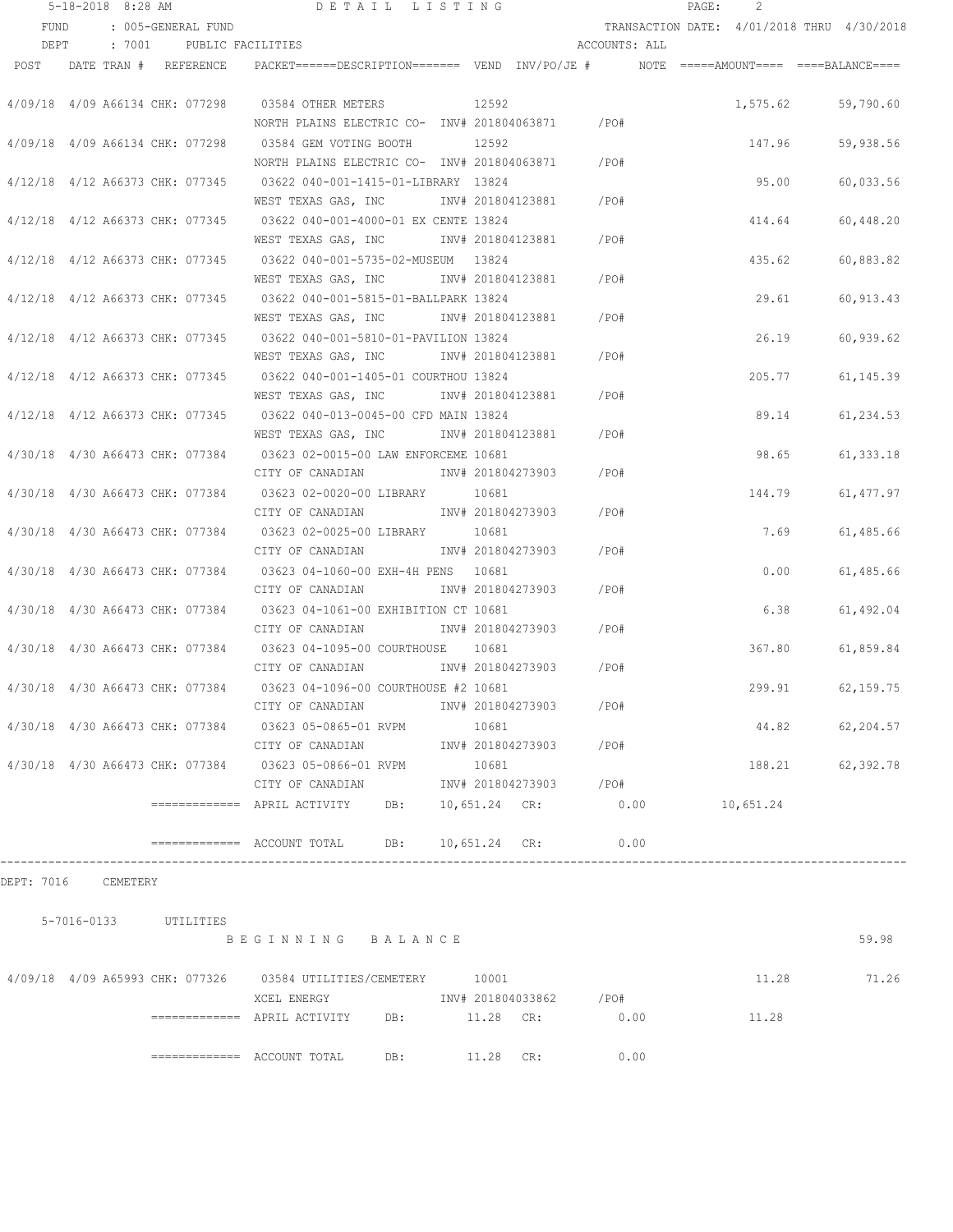|             | $5 - 18 - 2018$ 8:28 AM |                                 | DETAIL LISTING                                                                                                        |                                 |               | $\texttt{PAGE}$ : | 2        |                                            |
|-------------|-------------------------|---------------------------------|-----------------------------------------------------------------------------------------------------------------------|---------------------------------|---------------|-------------------|----------|--------------------------------------------|
| <b>FUND</b> |                         | : 005-GENERAL FUND              |                                                                                                                       |                                 |               |                   |          | TRANSACTION DATE: 4/01/2018 THRU 4/30/2018 |
| DEPT        |                         | : 7001 PUBLIC FACILITIES        |                                                                                                                       |                                 | ACCOUNTS: ALL |                   |          |                                            |
| POST        |                         | DATE TRAN # REFERENCE           | PACKET======DESCRIPTION========  VEND  INV/PO/JE #          NOTE  =====AMOUNT====  ====BALANCE====                    |                                 |               |                   |          |                                            |
|             |                         | 4/09/18 4/09 A66134 CHK: 077298 | 03584 OTHER METERS<br>12592<br>NORTH PLAINS ELECTRIC CO- INV# 201804063871 / PO#                                      |                                 |               |                   | 1,575.62 | 59,790.60                                  |
|             |                         | 4/09/18 4/09 A66134 CHK: 077298 | 03584 GEM VOTING BOOTH                                                                                                | 12592                           |               |                   | 147.96   | 59,938.56                                  |
|             |                         | 4/12/18 4/12 A66373 CHK: 077345 | NORTH PLAINS ELECTRIC CO- INV# 201804063871 / PO#<br>03622 040-001-1415-01-LIBRARY 13824                              |                                 |               |                   | 95.00    | 60,033.56                                  |
|             |                         | 4/12/18 4/12 A66373 CHK: 077345 | WEST TEXAS GAS, INC<br>03622 040-001-4000-01 EX CENTE 13824                                                           | INV# 201804123881 / PO#         |               |                   | 414.64   | 60,448.20                                  |
|             |                         | 4/12/18 4/12 A66373 CHK: 077345 | WEST TEXAS GAS, INC MW# 201804123881<br>03622 040-001-5735-02-MUSEUM 13824                                            | $/$ PO#                         |               |                   | 435.62   | 60,883.82                                  |
|             |                         | 4/12/18 4/12 A66373 CHK: 077345 | WEST TEXAS GAS, INC MW# 201804123881<br>03622 040-001-5815-01-BALLPARK 13824                                          | /PO#                            |               |                   | 29.61    | 60, 913.43                                 |
|             |                         |                                 | WEST TEXAS GAS, INC METALL 201804123881 / PO#<br>4/12/18 4/12 A66373 CHK: 077345 03622 040-001-5810-01-PAVILION 13824 |                                 |               |                   | 26.19    | 60,939.62                                  |
|             |                         |                                 | WEST TEXAS GAS, INC MOTH 201804123881 / PO#<br>4/12/18 4/12 A66373 CHK: 077345 03622 040-001-1405-01 COURTHOU 13824   |                                 |               |                   | 205.77   | 61, 145.39                                 |
|             |                         |                                 | WEST TEXAS GAS, INC<br>4/12/18 4/12 A66373 CHK: 077345 03622 040-013-0045-00 CFD MAIN 13824                           | INV# 201804123881 /PO#          |               |                   | 89.14    | 61,234.53                                  |
|             |                         |                                 | WEST TEXAS GAS, INC<br>4/30/18 4/30 A66473 CHK: 077384 03623 02-0015-00 LAW ENFORCEME 10681                           | $/$ PO#<br>INV# 201804123881    |               |                   | 98.65    | 61, 333.18                                 |
|             |                         | 4/30/18 4/30 A66473 CHK: 077384 | CITY OF CANADIAN<br>03623 02-0020-00 LIBRARY 10681                                                                    | $/$ PO#<br>INV# 201804273903    |               |                   | 144.79   | 61, 477.97                                 |
|             |                         | 4/30/18 4/30 A66473 CHK: 077384 | CITY OF CANADIAN<br>03623 02-0025-00 LIBRARY 10681                                                                    | INV# 201804273903               | /PO#          |                   | 7.69     | 61,485.66                                  |
|             |                         | 4/30/18 4/30 A66473 CHK: 077384 | CITY OF CANADIAN<br>03623 04-1060-00 EXH-4H PENS 10681                                                                | INV# 201804273903               | /PO#          |                   | 0.00     | 61,485.66                                  |
|             |                         |                                 | CITY OF CANADIAN<br>4/30/18 4/30 A66473 CHK: 077384 03623 04-1061-00 EXHIBITION CT 10681                              | INV# 201804273903               | /PO#          |                   | 6.38     | 61,492.04                                  |
|             |                         |                                 | CITY OF CANADIAN<br>4/30/18 4/30 A66473 CHK: 077384 03623 04-1095-00 COURTHOUSE 10681                                 | /PO#<br>INV# 201804273903       |               |                   | 367.80   | 61,859.84                                  |
|             |                         | 4/30/18 4/30 A66473 CHK: 077384 | CITY OF CANADIAN MW# 201804273903<br>03623 04-1096-00 COURTHOUSE #2 10681                                             |                                 | /PO#          |                   | 299.91   | 62,159.75                                  |
|             |                         |                                 | CITY OF CANADIAN<br>4/30/18 4/30 A66473 CHK: 077384 03623 05-0865-01 RVPM                                             | INV# 201804273903 /PO#<br>10681 |               |                   |          | 44.82 62,204.57                            |
|             |                         |                                 | CITY OF CANADIAN<br>4/30/18 4/30 A66473 CHK: 077384 03623 05-0866-01 RVPM                                             | INV# 201804273903 /PO#<br>10681 |               |                   |          | 188.21 62,392.78                           |
|             |                         |                                 | CITY OF CANADIAN 1NV# 201804273903 / PO#<br>============ APRIL ACTIVITY DB: 10,651.24 CR: 0.00 10,651.24              |                                 |               |                   |          |                                            |
|             |                         |                                 | ============ ACCOUNT TOTAL DB: 10,651.24 CR: 0.00                                                                     |                                 |               |                   |          |                                            |
|             | DEPT: 7016 CEMETERY     |                                 |                                                                                                                       |                                 |               |                   |          |                                            |
|             |                         | 5-7016-0133 UTILITIES           |                                                                                                                       |                                 |               |                   |          |                                            |
|             |                         |                                 | BEGINNING BALANCE                                                                                                     |                                 |               |                   |          | 59.98                                      |
|             |                         |                                 |                                                                                                                       |                                 |               |                   |          | 11.28 71.26                                |
|             |                         |                                 | ------------- APRIL ACTIVITY DB: 11.28 CR: 0.00                                                                       |                                 |               |                   | 11.28    |                                            |
|             |                         |                                 | $\texttt{-----}$ =========== ACCOUNT TOTAL DB: $\texttt{11.28}$ CR:                                                   |                                 | 0.00          |                   |          |                                            |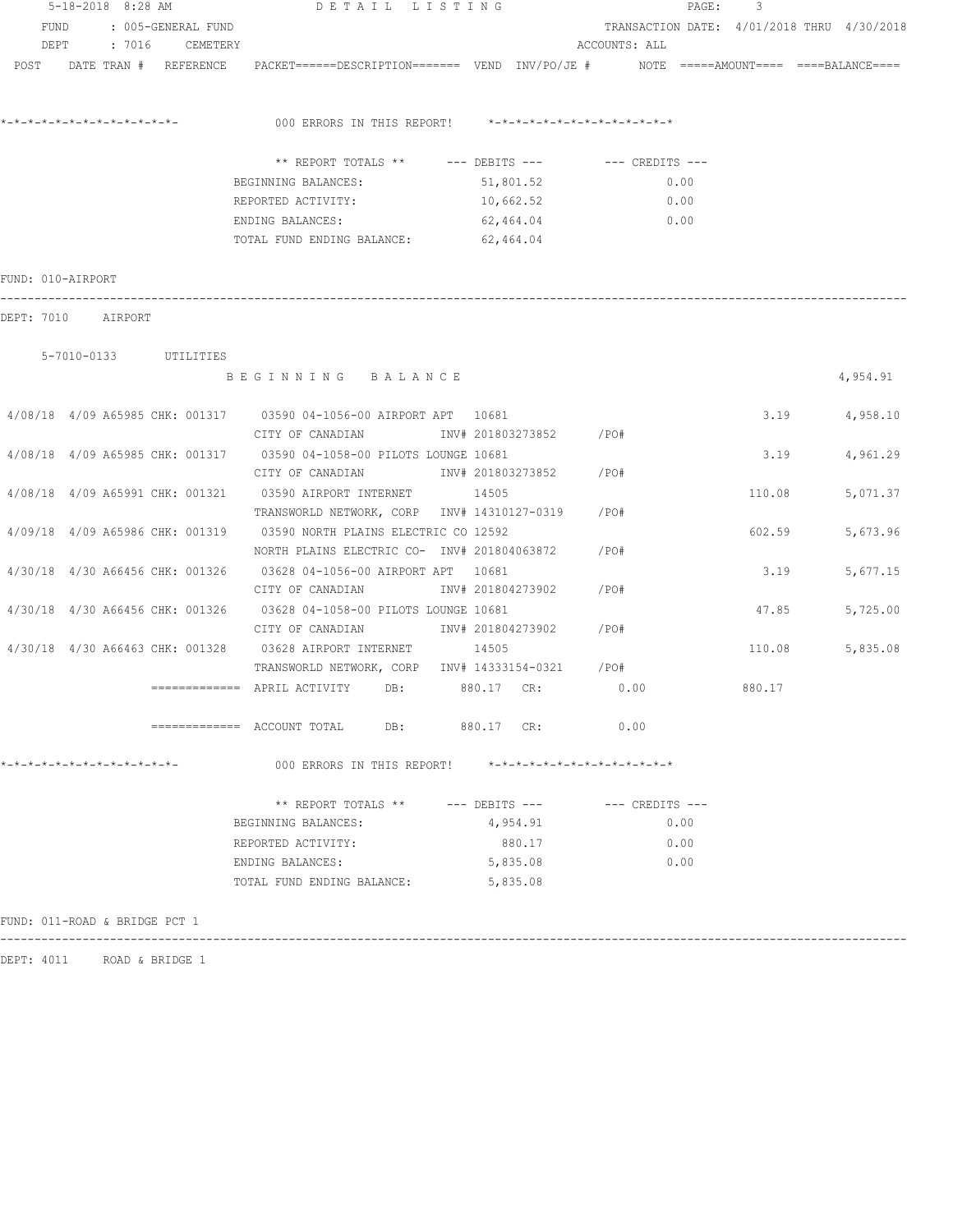| 5-18-2018 8:28 AM            |                       |                               |  | DETAIL LISTING     |                                                                        | PAGE: 3                |           |                                            |                                            |               |
|------------------------------|-----------------------|-------------------------------|--|--------------------|------------------------------------------------------------------------|------------------------|-----------|--------------------------------------------|--------------------------------------------|---------------|
| FUND                         |                       |                               |  | : 005-GENERAL FUND |                                                                        |                        |           | TRANSACTION DATE: 4/01/2018 THRU 4/30/2018 |                                            |               |
|                              | DEPT : 7016 CEMETERY  |                               |  |                    |                                                                        |                        |           | ACCOUNTS: ALL                              |                                            |               |
| POST DATE TRAN # REFERENCE   |                       |                               |  |                    |                                                                        |                        |           |                                            | $NOTE$ ===== $AMOUNT$ ==== ====BALANCE==== |               |
|                              |                       |                               |  |                    |                                                                        |                        |           |                                            |                                            |               |
|                              |                       |                               |  |                    | 000 ERRORS IN THIS REPORT!                                             |                        |           | *-*-*-*-*-*-*-*-*-*-*-*-*-*-*              |                                            |               |
|                              |                       |                               |  |                    |                                                                        |                        |           |                                            |                                            |               |
|                              |                       |                               |  |                    | ** REPORT TOTALS ** --- DEBITS --- -- CREDITS ---                      |                        |           |                                            |                                            |               |
|                              |                       |                               |  |                    | BEGINNING BALANCES:                                                    |                        | 51,801.52 | 0.00                                       |                                            |               |
|                              |                       |                               |  |                    | REPORTED ACTIVITY:                                                     | 10,662.52              |           | 0.00                                       |                                            |               |
|                              |                       |                               |  |                    | ENDING BALANCES:                                                       | 62,464.04              |           | 0.00                                       |                                            |               |
|                              |                       |                               |  |                    | TOTAL FUND ENDING BALANCE: 62,464.04                                   |                        |           |                                            |                                            |               |
| FUND: 010-AIRPORT            |                       |                               |  |                    |                                                                        |                        |           |                                            |                                            |               |
| DEPT: 7010 AIRPORT           |                       |                               |  |                    |                                                                        |                        |           |                                            |                                            |               |
|                              |                       |                               |  |                    |                                                                        |                        |           |                                            |                                            |               |
|                              | 5-7010-0133 UTILITIES |                               |  |                    | BEGINNING BALANCE                                                      |                        |           |                                            |                                            | 4,954.91      |
|                              |                       |                               |  |                    |                                                                        |                        |           |                                            |                                            |               |
|                              |                       |                               |  |                    | 4/08/18 4/09 A65985 CHK: 001317 03590 04-1056-00 AIRPORT APT 10681     |                        |           |                                            |                                            | 3.19 4,958.10 |
|                              |                       |                               |  |                    | CITY OF CANADIAN                                                       | INV# 201803273852 /PO# |           |                                            |                                            |               |
|                              |                       |                               |  |                    | 4/08/18 4/09 A65985 CHK: 001317 03590 04-1058-00 PILOTS LOUNGE 10681   |                        |           |                                            | 3.19                                       | 4,961.29      |
|                              |                       |                               |  |                    | CITY OF CANADIAN                                                       | INV# 201803273852      |           | $/$ PO#                                    |                                            |               |
|                              |                       |                               |  |                    | 4/08/18 4/09 A65991 CHK: 001321 03590 AIRPORT INTERNET 14505           |                        |           |                                            | 110.08                                     | 5,071.37      |
|                              |                       |                               |  |                    | TRANSWORLD NETWORK, CORP INV# 14310127-0319                            |                        |           | /PO#                                       |                                            |               |
|                              |                       |                               |  |                    | 4/09/18 4/09 A65986 CHK: 001319 03590 NORTH PLAINS ELECTRIC CO 12592   |                        |           |                                            | 602.59                                     | 5,673.96      |
|                              |                       |                               |  |                    | NORTH PLAINS ELECTRIC CO- INV# 201804063872                            |                        |           | /PO#                                       |                                            |               |
|                              |                       |                               |  |                    | 4/30/18 4/30 A66456 CHK: 001326 03628 04-1056-00 AIRPORT APT 10681     |                        |           |                                            | 3.19                                       | 5,677.15      |
|                              |                       |                               |  |                    | CITY OF CANADIAN INV# 201804273902                                     |                        |           | $/$ PO#                                    |                                            |               |
|                              |                       |                               |  |                    | 4/30/18 4/30 A66456 CHK: 001326 03628 04-1058-00 PILOTS LOUNGE 10681   |                        |           |                                            | 47.85                                      | 5,725.00      |
|                              |                       |                               |  |                    | CITY OF CANADIAN MW# 201804273902                                      |                        |           | /PO#                                       |                                            |               |
|                              |                       |                               |  |                    | 4/30/18 4/30 A66463 CHK: 001328 03628 AIRPORT INTERNET 14505           |                        |           |                                            | 110.08                                     | 5,835.08      |
|                              |                       |                               |  |                    | TRANSWORLD NETWORK, CORP INV# 14333154-0321 / PO#                      |                        |           |                                            |                                            |               |
|                              |                       |                               |  |                    | $\overline{\phantom{X}}$ ============= APRIL ACTIVITY DB: $880.17$ CR: |                        |           | 0.00                                       | 880.17                                     |               |
|                              |                       |                               |  |                    | ============= ACCOUNT TOTAL DB: 880.17 CR:                             |                        |           | 0.00                                       |                                            |               |
| *-*-*-*-*-*-*-*-*-*-*-*-*-*- |                       |                               |  |                    | 000 ERRORS IN THIS REPORT!                                             |                        |           | *-*-*-*-*-*-*-*-*-*-*-*-*-*-*              |                                            |               |
|                              |                       |                               |  |                    | ** REPORT TOTALS **                                                    | $---$ DEBITS $---$     |           | --- CREDITS ---                            |                                            |               |
|                              |                       |                               |  |                    | BEGINNING BALANCES:                                                    |                        | 4,954.91  | 0.00                                       |                                            |               |
|                              |                       |                               |  |                    | REPORTED ACTIVITY:                                                     |                        | 880.17    | 0.00                                       |                                            |               |
|                              |                       |                               |  |                    | ENDING BALANCES:                                                       |                        | 5,835.08  | 0.00                                       |                                            |               |
|                              |                       |                               |  |                    | TOTAL FUND ENDING BALANCE:                                             |                        | 5,835.08  |                                            |                                            |               |
|                              |                       |                               |  |                    |                                                                        |                        |           |                                            |                                            |               |
|                              |                       | FUND: 011-ROAD & BRIDGE PCT 1 |  |                    |                                                                        |                        |           |                                            |                                            |               |

DEPT: 4011 ROAD & BRIDGE 1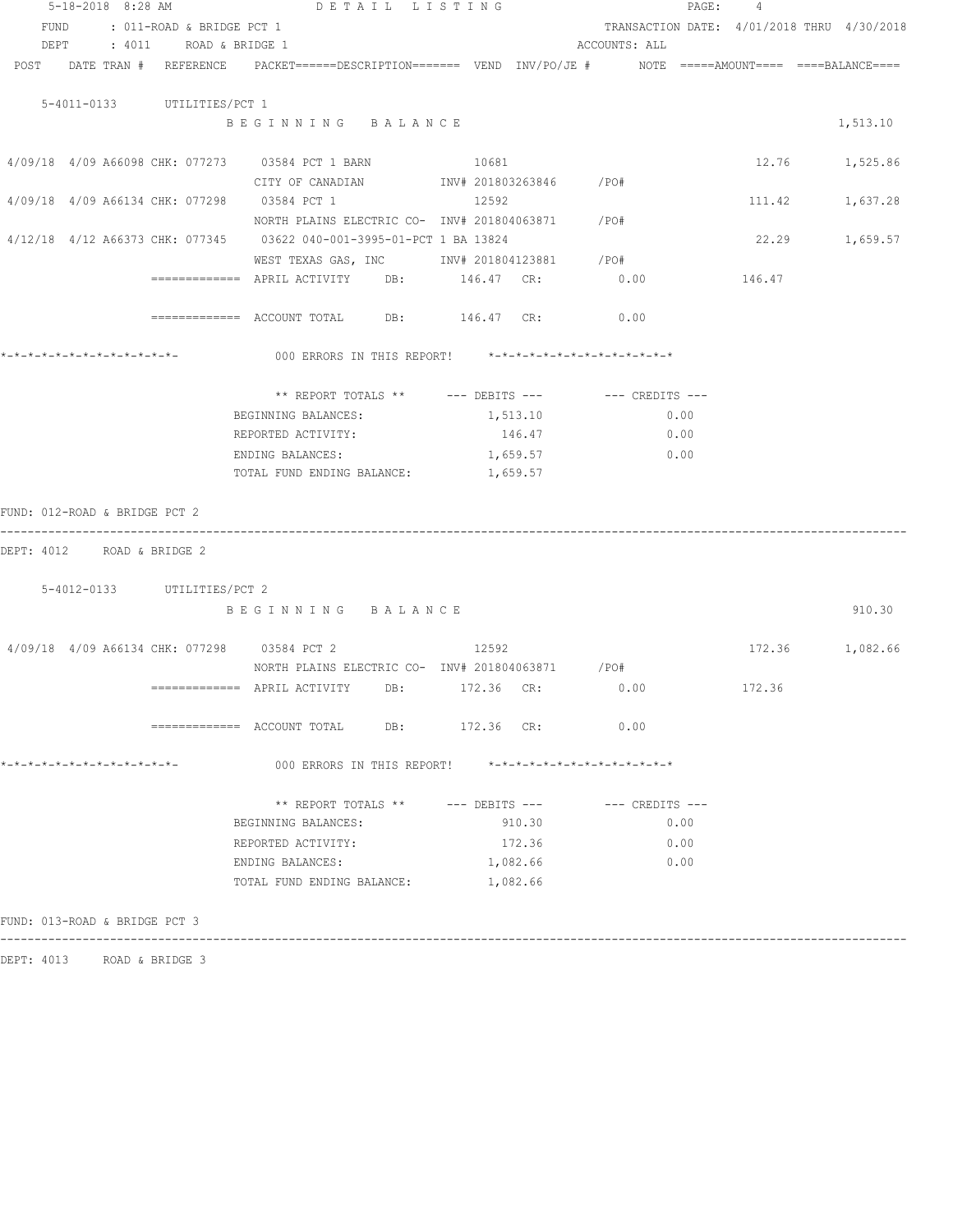|                                             | 5-18-2018 8:28 AM DETAIL LISTING                                                                                |                         |                                            | PAGE: 4         |          |
|---------------------------------------------|-----------------------------------------------------------------------------------------------------------------|-------------------------|--------------------------------------------|-----------------|----------|
| FUND<br>: 011-ROAD & BRIDGE PCT 1           |                                                                                                                 |                         | TRANSACTION DATE: 4/01/2018 THRU 4/30/2018 |                 |          |
| DEPT : 4011 ROAD & BRIDGE 1                 |                                                                                                                 |                         | ACCOUNTS: ALL                              |                 |          |
|                                             | POST DATE TRAN # REFERENCE PACKET======DESCRIPTION======= VEND INV/PO/JE # NOTE =====AMOUNT==== ====BALANCE==== |                         |                                            |                 |          |
|                                             |                                                                                                                 |                         |                                            |                 |          |
| 5-4011-0133 UTILITIES/PCT 1                 |                                                                                                                 |                         |                                            |                 |          |
|                                             | BEGINNING BALANCE                                                                                               |                         |                                            |                 | 1,513.10 |
|                                             |                                                                                                                 |                         |                                            |                 |          |
|                                             | 4/09/18 4/09 A66098 CHK: 077273 03584 PCT 1 BARN                                                                | 10681                   |                                            | 12.76 1,525.86  |          |
|                                             | CITY OF CANADIAN                                                                                                | INV# 201803263846 / PO# |                                            |                 |          |
| 4/09/18 4/09 A66134 CHK: 077298 03584 PCT 1 |                                                                                                                 | 12592                   |                                            | 111.42          | 1,637.28 |
|                                             | NORTH PLAINS ELECTRIC CO- INV# 201804063871 / PO#                                                               |                         |                                            |                 |          |
|                                             | 4/12/18 4/12 A66373 CHK: 077345 03622 040-001-3995-01-PCT 1 BA 13824                                            |                         |                                            | 22.29           | 1,659.57 |
|                                             | WEST TEXAS GAS, INC MOTH 201804123881 / PO#                                                                     |                         |                                            |                 |          |
|                                             | ============ APRIL ACTIVITY DB: 146.47 CR: 0.00                                                                 |                         |                                            | 146.47          |          |
|                                             |                                                                                                                 |                         |                                            |                 |          |
|                                             | ============ ACCOUNT TOTAL DB: 146.47 CR: 0.00                                                                  |                         |                                            |                 |          |
|                                             |                                                                                                                 |                         |                                            |                 |          |
|                                             | 000 ERRORS IN THIS REPORT! *-*-*-*-*-*-*-*-*-*-*-*-*-*-                                                         |                         |                                            |                 |          |
|                                             |                                                                                                                 |                         |                                            |                 |          |
|                                             | ** REPORT TOTALS ** --- DEBITS --- -- -- CREDITS ---                                                            |                         |                                            |                 |          |
|                                             | BEGINNING BALANCES:                                                                                             | 1,513.10                | 0.00                                       |                 |          |
|                                             | REPORTED ACTIVITY:                                                                                              | 146.47                  | 0.00                                       |                 |          |
|                                             | ENDING BALANCES:                                                                                                | 1,659.57                | 0.00                                       |                 |          |
|                                             | TOTAL FUND ENDING BALANCE:                                                                                      | 1,659.57                |                                            |                 |          |
|                                             |                                                                                                                 |                         |                                            |                 |          |
| FUND: 012-ROAD & BRIDGE PCT 2               |                                                                                                                 |                         |                                            |                 |          |
|                                             |                                                                                                                 |                         |                                            |                 |          |
| DEPT: 4012 ROAD & BRIDGE 2                  |                                                                                                                 |                         |                                            |                 |          |
|                                             |                                                                                                                 |                         |                                            |                 |          |
| 5-4012-0133 UTILITIES/PCT 2                 |                                                                                                                 |                         |                                            |                 |          |
|                                             | BEGINNING BALANCE                                                                                               |                         |                                            |                 | 910.30   |
|                                             |                                                                                                                 |                         |                                            |                 |          |
|                                             | 4/09/18 4/09 A66134 CHK: 077298 03584 PCT 2                                                                     | 12592                   |                                            | 172.36 1,082.66 |          |
|                                             | NORTH PLAINS ELECTRIC CO- INV# 201804063871 / PO#                                                               |                         |                                            |                 |          |
|                                             | ============= APRIL ACTIVITY DB: 172.36 CR:                                                                     |                         | 0.00                                       | 172.36          |          |
|                                             |                                                                                                                 |                         |                                            |                 |          |
|                                             | ============ ACCOUNT TOTAL DB: 172.36 CR: 0.00                                                                  |                         |                                            |                 |          |
|                                             |                                                                                                                 |                         |                                            |                 |          |
|                                             | 000 ERRORS IN THIS REPORT! *-*-*-*-*-*-*-*-*-*-*-*-*-*-                                                         |                         |                                            |                 |          |
|                                             |                                                                                                                 |                         |                                            |                 |          |
|                                             | ** REPORT TOTALS ** --- DEBITS --- -- -- CREDITS ---                                                            |                         |                                            |                 |          |
|                                             | BEGINNING BALANCES:                                                                                             | 910.30                  | 0.00                                       |                 |          |
|                                             | REPORTED ACTIVITY:                                                                                              | 172.36                  | 0.00                                       |                 |          |
|                                             | ENDING BALANCES:                                                                                                | 1,082.66                | 0.00                                       |                 |          |
|                                             | TOTAL FUND ENDING BALANCE:                                                                                      | 1,082.66                |                                            |                 |          |
|                                             |                                                                                                                 |                         |                                            |                 |          |
| FUND: 013-ROAD & BRIDGE PCT 3               |                                                                                                                 |                         |                                            |                 |          |
|                                             |                                                                                                                 |                         |                                            |                 |          |

DEPT: 4013 ROAD & BRIDGE 3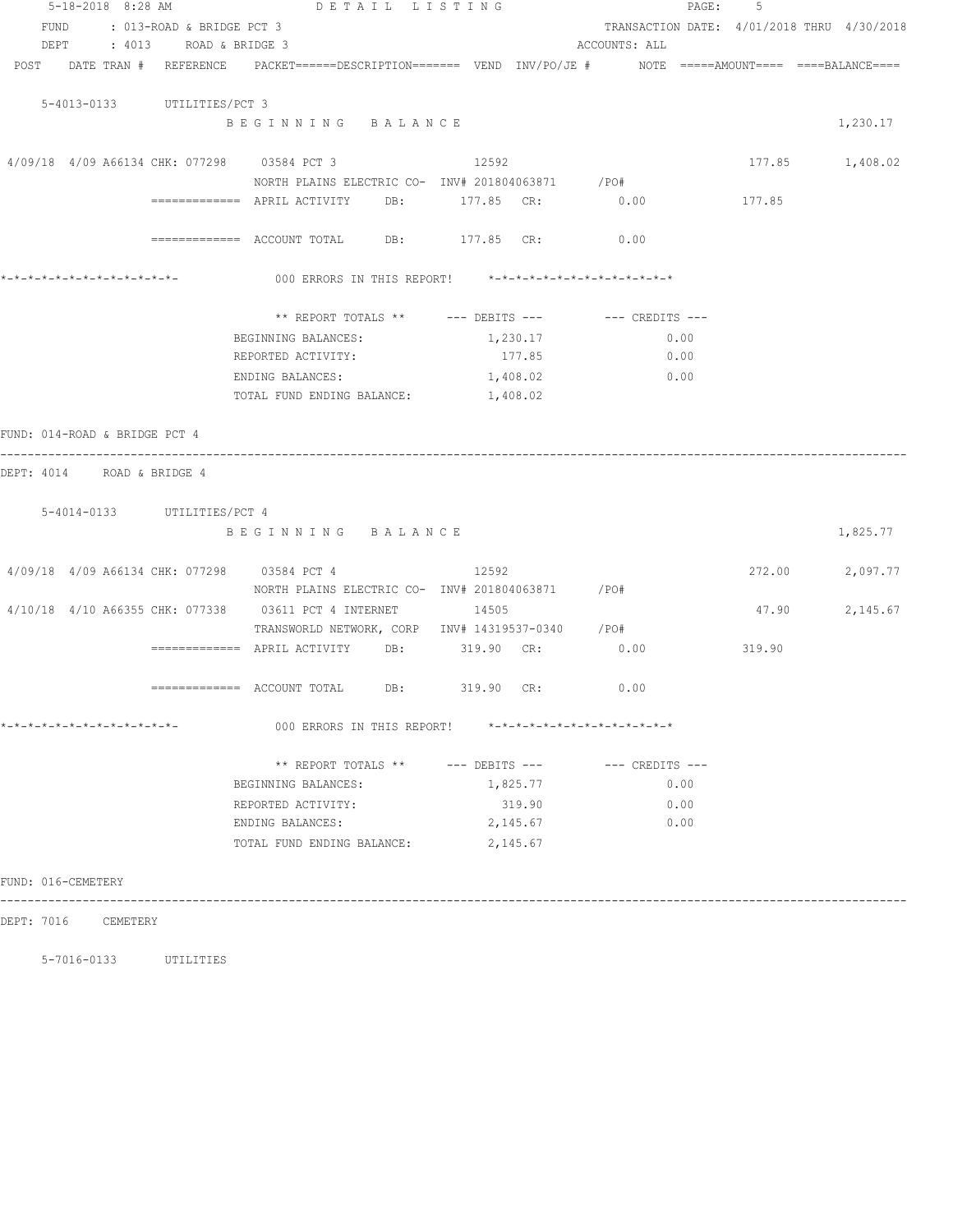| 5-18-2018 8:28 AM                                          | DETAIL LISTING                              |  |                                                                                                                                                                                                                                                                                                                                                                                                                                                                                                                                                                                                                                                                                                                                                                                                              |                    |               | PAGE: 5                                    |          |
|------------------------------------------------------------|---------------------------------------------|--|--------------------------------------------------------------------------------------------------------------------------------------------------------------------------------------------------------------------------------------------------------------------------------------------------------------------------------------------------------------------------------------------------------------------------------------------------------------------------------------------------------------------------------------------------------------------------------------------------------------------------------------------------------------------------------------------------------------------------------------------------------------------------------------------------------------|--------------------|---------------|--------------------------------------------|----------|
| FUND<br>: 013-ROAD & BRIDGE PCT 3                          |                                             |  |                                                                                                                                                                                                                                                                                                                                                                                                                                                                                                                                                                                                                                                                                                                                                                                                              |                    |               | TRANSACTION DATE: 4/01/2018 THRU 4/30/2018 |          |
| DEPT : 4013 ROAD & BRIDGE 3                                |                                             |  |                                                                                                                                                                                                                                                                                                                                                                                                                                                                                                                                                                                                                                                                                                                                                                                                              |                    | ACCOUNTS: ALL |                                            |          |
|                                                            |                                             |  |                                                                                                                                                                                                                                                                                                                                                                                                                                                                                                                                                                                                                                                                                                                                                                                                              |                    |               |                                            |          |
|                                                            |                                             |  |                                                                                                                                                                                                                                                                                                                                                                                                                                                                                                                                                                                                                                                                                                                                                                                                              |                    |               |                                            |          |
| 5-4013-0133 UTILITIES/PCT 3                                |                                             |  | POST DATE TRAN # REFERENCE PACKET======DESCRIPTION======= VEND INV/PO/JE # NOTE =====AMOUNT==== ====BALANCE====<br>12592<br>177.85 1,408.02<br>NORTH PLAINS ELECTRIC CO- INV# 201804063871 / PO#<br>0.00<br>177.85<br>============= ACCOUNT TOTAL DB: 177.85 CR:<br>0.00<br>000 ERRORS IN THIS REPORT! *-*-*-*-*-*-*-*-*-*-*-*-*-*-<br>** REPORT TOTALS ** --- DEBITS --- -- CREDITS ---<br>1,230.17<br>0.00<br>177.85<br>0.00<br>1,408.02<br>0.00<br>1,408.02<br>12592<br>272.00<br>NORTH PLAINS ELECTRIC CO- INV# 201804063871 / PO#<br>47.90<br>TRANSWORLD NETWORK, CORP INV# 14319537-0340 /PO#<br>============ APRIL ACTIVITY DB: 319.90 CR: 0.00<br>319.90<br>0.00<br>319.90 CR:<br>000 ERRORS IN THIS REPORT! $*-*-*-*-*-*-*-*-*-*-*-*-*-*-*-**$<br>** REPORT TOTALS ** --- DEBITS --- -- CREDITS --- |                    |               |                                            |          |
|                                                            | BEGINNING BALANCE                           |  |                                                                                                                                                                                                                                                                                                                                                                                                                                                                                                                                                                                                                                                                                                                                                                                                              |                    |               |                                            | 1,230.17 |
|                                                            |                                             |  |                                                                                                                                                                                                                                                                                                                                                                                                                                                                                                                                                                                                                                                                                                                                                                                                              |                    |               |                                            |          |
| 4/09/18 4/09 A66134 CHK: 077298 03584 PCT 3                |                                             |  |                                                                                                                                                                                                                                                                                                                                                                                                                                                                                                                                                                                                                                                                                                                                                                                                              |                    |               |                                            |          |
|                                                            |                                             |  |                                                                                                                                                                                                                                                                                                                                                                                                                                                                                                                                                                                                                                                                                                                                                                                                              |                    |               |                                            |          |
|                                                            | ============= APRIL ACTIVITY DB: 177.85 CR: |  |                                                                                                                                                                                                                                                                                                                                                                                                                                                                                                                                                                                                                                                                                                                                                                                                              |                    |               |                                            |          |
|                                                            |                                             |  |                                                                                                                                                                                                                                                                                                                                                                                                                                                                                                                                                                                                                                                                                                                                                                                                              |                    |               |                                            |          |
|                                                            |                                             |  |                                                                                                                                                                                                                                                                                                                                                                                                                                                                                                                                                                                                                                                                                                                                                                                                              |                    |               |                                            |          |
|                                                            |                                             |  |                                                                                                                                                                                                                                                                                                                                                                                                                                                                                                                                                                                                                                                                                                                                                                                                              |                    |               |                                            |          |
| *-*-*-*-*-*-*-*-*-*-*-*-*-*-                               |                                             |  |                                                                                                                                                                                                                                                                                                                                                                                                                                                                                                                                                                                                                                                                                                                                                                                                              |                    |               |                                            |          |
|                                                            |                                             |  |                                                                                                                                                                                                                                                                                                                                                                                                                                                                                                                                                                                                                                                                                                                                                                                                              |                    |               |                                            |          |
|                                                            |                                             |  |                                                                                                                                                                                                                                                                                                                                                                                                                                                                                                                                                                                                                                                                                                                                                                                                              |                    |               |                                            |          |
|                                                            | BEGINNING BALANCES:<br>REPORTED ACTIVITY:   |  |                                                                                                                                                                                                                                                                                                                                                                                                                                                                                                                                                                                                                                                                                                                                                                                                              |                    |               |                                            |          |
|                                                            | ENDING BALANCES:                            |  |                                                                                                                                                                                                                                                                                                                                                                                                                                                                                                                                                                                                                                                                                                                                                                                                              |                    |               |                                            |          |
|                                                            | TOTAL FUND ENDING BALANCE:                  |  |                                                                                                                                                                                                                                                                                                                                                                                                                                                                                                                                                                                                                                                                                                                                                                                                              |                    |               |                                            |          |
|                                                            |                                             |  |                                                                                                                                                                                                                                                                                                                                                                                                                                                                                                                                                                                                                                                                                                                                                                                                              |                    |               |                                            |          |
| FUND: 014-ROAD & BRIDGE PCT 4                              |                                             |  |                                                                                                                                                                                                                                                                                                                                                                                                                                                                                                                                                                                                                                                                                                                                                                                                              |                    |               |                                            |          |
| ----------------                                           |                                             |  |                                                                                                                                                                                                                                                                                                                                                                                                                                                                                                                                                                                                                                                                                                                                                                                                              |                    |               |                                            |          |
| DEPT: 4014 ROAD & BRIDGE 4                                 |                                             |  |                                                                                                                                                                                                                                                                                                                                                                                                                                                                                                                                                                                                                                                                                                                                                                                                              |                    |               |                                            |          |
|                                                            |                                             |  |                                                                                                                                                                                                                                                                                                                                                                                                                                                                                                                                                                                                                                                                                                                                                                                                              |                    |               |                                            |          |
| 5-4014-0133 UTILITIES/PCT 4                                |                                             |  |                                                                                                                                                                                                                                                                                                                                                                                                                                                                                                                                                                                                                                                                                                                                                                                                              |                    |               |                                            |          |
|                                                            | BEGINNING BALANCE                           |  |                                                                                                                                                                                                                                                                                                                                                                                                                                                                                                                                                                                                                                                                                                                                                                                                              |                    |               |                                            | 1,825.77 |
|                                                            |                                             |  |                                                                                                                                                                                                                                                                                                                                                                                                                                                                                                                                                                                                                                                                                                                                                                                                              |                    |               |                                            |          |
| 4/09/18 4/09 A66134 CHK: 077298 03584 PCT 4                |                                             |  |                                                                                                                                                                                                                                                                                                                                                                                                                                                                                                                                                                                                                                                                                                                                                                                                              |                    |               |                                            | 2,097.77 |
|                                                            |                                             |  |                                                                                                                                                                                                                                                                                                                                                                                                                                                                                                                                                                                                                                                                                                                                                                                                              |                    |               |                                            |          |
| 4/10/18 4/10 A66355 CHK: 077338 03611 PCT 4 INTERNET 14505 |                                             |  |                                                                                                                                                                                                                                                                                                                                                                                                                                                                                                                                                                                                                                                                                                                                                                                                              |                    |               | 2,145.67                                   |          |
|                                                            |                                             |  |                                                                                                                                                                                                                                                                                                                                                                                                                                                                                                                                                                                                                                                                                                                                                                                                              |                    |               |                                            |          |
|                                                            |                                             |  |                                                                                                                                                                                                                                                                                                                                                                                                                                                                                                                                                                                                                                                                                                                                                                                                              |                    |               |                                            |          |
|                                                            |                                             |  |                                                                                                                                                                                                                                                                                                                                                                                                                                                                                                                                                                                                                                                                                                                                                                                                              |                    |               |                                            |          |
|                                                            | ============= ACCOUNT TOTAL DB:             |  |                                                                                                                                                                                                                                                                                                                                                                                                                                                                                                                                                                                                                                                                                                                                                                                                              |                    |               |                                            |          |
|                                                            |                                             |  |                                                                                                                                                                                                                                                                                                                                                                                                                                                                                                                                                                                                                                                                                                                                                                                                              |                    |               |                                            |          |
| *-*-*-*-*-*-*-*-*-*-*-*-*-*-                               |                                             |  |                                                                                                                                                                                                                                                                                                                                                                                                                                                                                                                                                                                                                                                                                                                                                                                                              |                    |               |                                            |          |
|                                                            |                                             |  |                                                                                                                                                                                                                                                                                                                                                                                                                                                                                                                                                                                                                                                                                                                                                                                                              |                    |               |                                            |          |
|                                                            |                                             |  |                                                                                                                                                                                                                                                                                                                                                                                                                                                                                                                                                                                                                                                                                                                                                                                                              |                    | 0.00          |                                            |          |
|                                                            | BEGINNING BALANCES:                         |  |                                                                                                                                                                                                                                                                                                                                                                                                                                                                                                                                                                                                                                                                                                                                                                                                              | 1,825.77           |               |                                            |          |
|                                                            | REPORTED ACTIVITY:<br>ENDING BALANCES:      |  |                                                                                                                                                                                                                                                                                                                                                                                                                                                                                                                                                                                                                                                                                                                                                                                                              | 319.90<br>2,145.67 | 0.00<br>0.00  |                                            |          |
|                                                            |                                             |  |                                                                                                                                                                                                                                                                                                                                                                                                                                                                                                                                                                                                                                                                                                                                                                                                              |                    |               |                                            |          |
|                                                            | TOTAL FUND ENDING BALANCE:                  |  |                                                                                                                                                                                                                                                                                                                                                                                                                                                                                                                                                                                                                                                                                                                                                                                                              | 2,145.67           |               |                                            |          |
| FUND: 016-CEMETERY                                         |                                             |  |                                                                                                                                                                                                                                                                                                                                                                                                                                                                                                                                                                                                                                                                                                                                                                                                              |                    |               |                                            |          |
|                                                            |                                             |  |                                                                                                                                                                                                                                                                                                                                                                                                                                                                                                                                                                                                                                                                                                                                                                                                              |                    |               |                                            |          |
| DEPT: 7016 CEMETERY                                        |                                             |  |                                                                                                                                                                                                                                                                                                                                                                                                                                                                                                                                                                                                                                                                                                                                                                                                              |                    |               |                                            |          |
|                                                            |                                             |  |                                                                                                                                                                                                                                                                                                                                                                                                                                                                                                                                                                                                                                                                                                                                                                                                              |                    |               |                                            |          |

5-7016-0133 UTILITIES